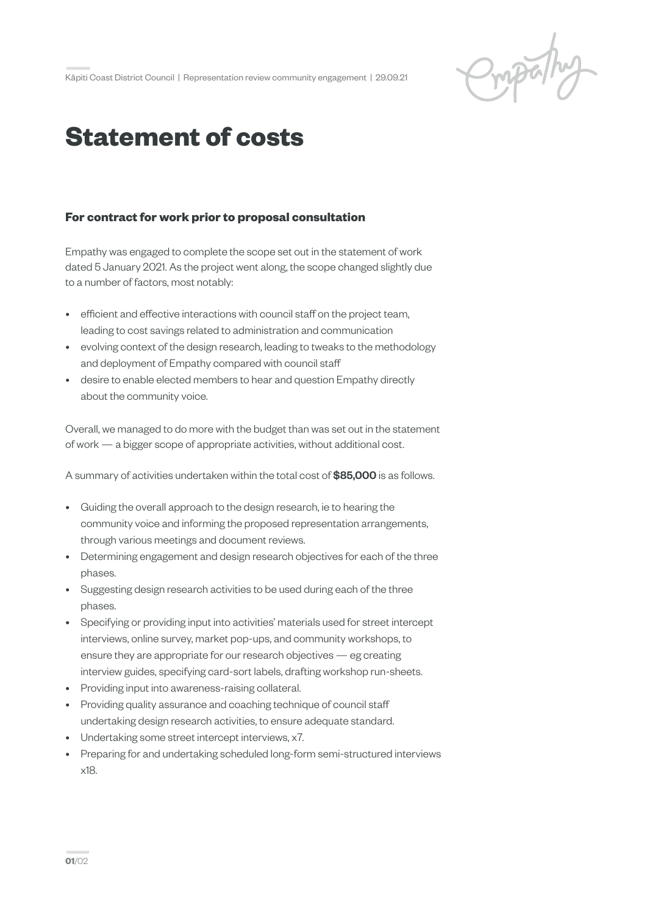Ompalhy

## **Statement of costs**

## **For contract for work prior to proposal consultation**

Empathy was engaged to complete the scope set out in the statement of work dated 5 January 2021. As the project went along, the scope changed slightly due to a number of factors, most notably:

- efficient and effective interactions with council staff on the project team, leading to cost savings related to administration and communication
- evolving context of the design research, leading to tweaks to the methodology and deployment of Empathy compared with council staff
- desire to enable elected members to hear and question Empathy directly about the community voice.

Overall, we managed to do more with the budget than was set out in the statement of work — a bigger scope of appropriate activities, without additional cost.

A summary of activities undertaken within the total cost of **\$85,000** is as follows.

- Guiding the overall approach to the design research, ie to hearing the community voice and informing the proposed representation arrangements, through various meetings and document reviews.
- Determining engagement and design research objectives for each of the three phases.
- Suggesting design research activities to be used during each of the three phases.
- Specifying or providing input into activities' materials used for street intercept interviews, online survey, market pop-ups, and community workshops, to ensure they are appropriate for our research objectives — eg creating interview guides, specifying card-sort labels, drafting workshop run-sheets.
- Providing input into awareness-raising collateral.
- Providing quality assurance and coaching technique of council staff undertaking design research activities, to ensure adequate standard.
- Undertaking some street intercept interviews, x7.
- Preparing for and undertaking scheduled long-form semi-structured interviews x18.